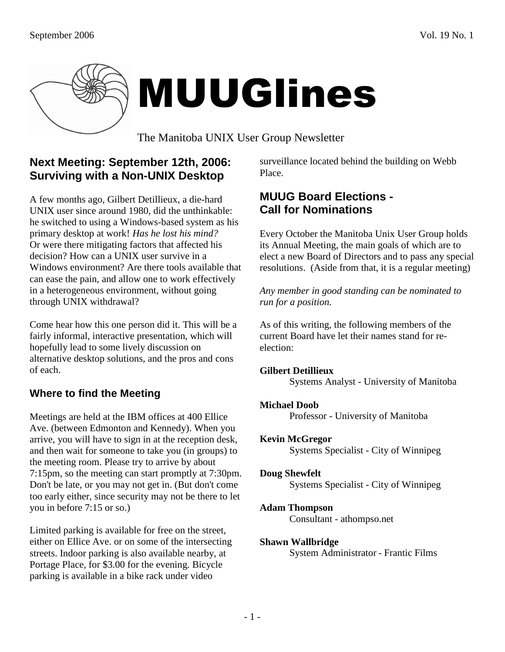

# MUUGlines

The Manitoba UNIX User Group Newsletter

## **Next Meeting: September 12th, 2006: Surviving with a Non-UNIX Desktop**

A few months ago, Gilbert Detillieux, a die-hard UNIX user since around 1980, did the unthinkable: he switched to using a Windows-based system as his primary desktop at work! *Has he lost his mind?* Or were there mitigating factors that affected his decision? How can a UNIX user survive in a Windows environment? Are there tools available that can ease the pain, and allow one to work effectively in a heterogeneous environment, without going through UNIX withdrawal?

Come hear how this one person did it. This will be a fairly informal, interactive presentation, which will hopefully lead to some lively discussion on alternative desktop solutions, and the pros and cons of each.

## **Where to find the Meeting**

Meetings are held at the IBM offices at 400 Ellice Ave. (between Edmonton and Kennedy). When you arrive, you will have to sign in at the reception desk, and then wait for someone to take you (in groups) to the meeting room. Please try to arrive by about 7:15pm, so the meeting can start promptly at 7:30pm. Don't be late, or you may not get in. (But don't come too early either, since security may not be there to let you in before 7:15 or so.)

Limited parking is available for free on the street, either on Ellice Ave. or on some of the intersecting streets. Indoor parking is also available nearby, at Portage Place, for \$3.00 for the evening. Bicycle parking is available in a bike rack under video

surveillance located behind the building on Webb Place.

## **MUUG Board Elections - Call for Nominations**

Every October the Manitoba Unix User Group holds its Annual Meeting, the main goals of which are to elect a new Board of Directors and to pass any special resolutions. (Aside from that, it is a regular meeting)

*Any member in good standing can be nominated to run for a position.* 

As of this writing, the following members of the current Board have let their names stand for reelection:

## **Gilbert Detillieux**

Systems Analyst - University of Manitoba

## **Michael Doob**

Professor - University of Manitoba

## **Kevin McGregor**

Systems Specialist - City of Winnipeg

#### **Doug Shewfelt**

Systems Specialist - City of Winnipeg

## **Adam Thompson**

Consultant - athompso.net

#### **Shawn Wallbridge**

System Administrator - Frantic Films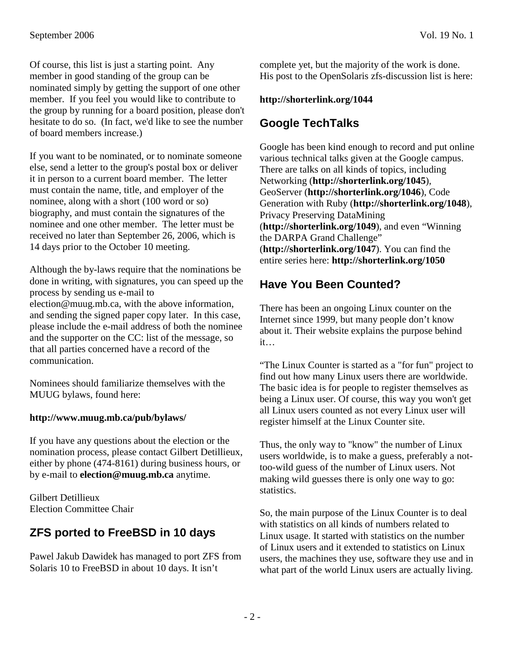Of course, this list is just a starting point. Any member in good standing of the group can be nominated simply by getting the support of one other member. If you feel you would like to contribute to the group by running for a board position, please don't hesitate to do so. (In fact, we'd like to see the number of board members increase.)

If you want to be nominated, or to nominate someone else, send a letter to the group's postal box or deliver it in person to a current board member. The letter must contain the name, title, and employer of the nominee, along with a short (100 word or so) biography, and must contain the signatures of the nominee and one other member. The letter must be received no later than September 26, 2006, which is 14 days prior to the October 10 meeting.

Although the by-laws require that the nominations be done in writing, with signatures, you can speed up the process by sending us e-mail to election@muug.mb.ca, with the above information, and sending the signed paper copy later. In this case, please include the e-mail address of both the nominee and the supporter on the CC: list of the message, so that all parties concerned have a record of the communication.

Nominees should familiarize themselves with the MUUG bylaws, found here:

## **http://www.muug.mb.ca/pub/bylaws/**

If you have any questions about the election or the nomination process, please contact Gilbert Detillieux, either by phone (474-8161) during business hours, or by e-mail to **election@muug.mb.ca** anytime.

Gilbert Detillieux Election Committee Chair

# **ZFS ported to FreeBSD in 10 days**

Pawel Jakub Dawidek has managed to port ZFS from Solaris 10 to FreeBSD in about 10 days. It isn't

complete yet, but the majority of the work is done. His post to the OpenSolaris zfs-discussion list is here:

#### **http://shorterlink.org/1044**

## **Google TechTalks**

Google has been kind enough to record and put online various technical talks given at the Google campus. There are talks on all kinds of topics, including Networking (**http://shorterlink.org/1045**), GeoServer (**http://shorterlink.org/1046**), Code Generation with Ruby (**http://shorterlink.org/1048**), Privacy Preserving DataMining (**http://shorterlink.org/1049**), and even "Winning the DARPA Grand Challenge" (**http://shorterlink.org/1047**). You can find the entire series here: **http://shorterlink.org/1050**

# **Have You Been Counted?**

There has been an ongoing Linux counter on the Internet since 1999, but many people don't know about it. Their website explains the purpose behind it…

"The Linux Counter is started as a "for fun" project to find out how many Linux users there are worldwide. The basic idea is for people to register themselves as being a Linux user. Of course, this way you won't get all Linux users counted as not every Linux user will register himself at the Linux Counter site.

Thus, the only way to "know" the number of Linux users worldwide, is to make a guess, preferably a nottoo-wild guess of the number of Linux users. Not making wild guesses there is only one way to go: statistics.

So, the main purpose of the Linux Counter is to deal with statistics on all kinds of numbers related to Linux usage. It started with statistics on the number of Linux users and it extended to statistics on Linux users, the machines they use, software they use and in what part of the world Linux users are actually living.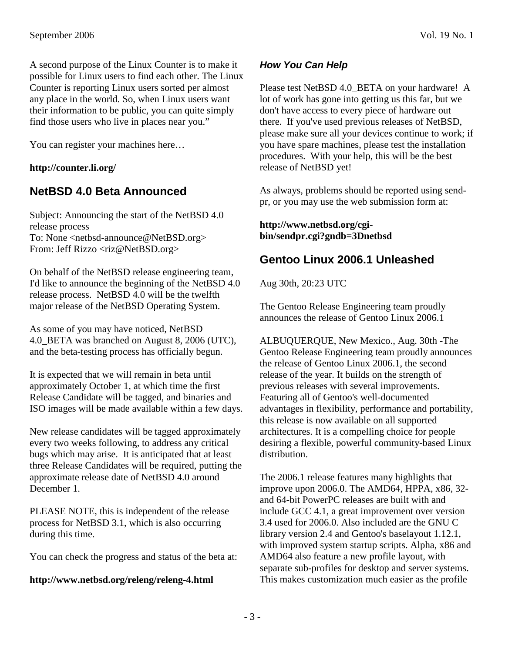A second purpose of the Linux Counter is to make it possible for Linux users to find each other. The Linux Counter is reporting Linux users sorted per almost any place in the world. So, when Linux users want their information to be public, you can quite simply find those users who live in places near you."

You can register your machines here…

## **http://counter.li.org/**

# **NetBSD 4.0 Beta Announced**

Subject: Announcing the start of the NetBSD 4.0 release process To: None <netbsd-announce@NetBSD.org> From: Jeff Rizzo <riz@NetBSD.org>

On behalf of the NetBSD release engineering team, I'd like to announce the beginning of the NetBSD 4.0 release process. NetBSD 4.0 will be the twelfth major release of the NetBSD Operating System.

As some of you may have noticed, NetBSD 4.0 BETA was branched on August 8, 2006 (UTC), and the beta-testing process has officially begun.

It is expected that we will remain in beta until approximately October 1, at which time the first Release Candidate will be tagged, and binaries and ISO images will be made available within a few days.

New release candidates will be tagged approximately every two weeks following, to address any critical bugs which may arise. It is anticipated that at least three Release Candidates will be required, putting the approximate release date of NetBSD 4.0 around December 1.

PLEASE NOTE, this is independent of the release process for NetBSD 3.1, which is also occurring during this time.

You can check the progress and status of the beta at:

## **http://www.netbsd.org/releng/releng-4.html**

## **How You Can Help**

Please test NetBSD 4.0\_BETA on your hardware! A lot of work has gone into getting us this far, but we don't have access to every piece of hardware out there. If you've used previous releases of NetBSD, please make sure all your devices continue to work; if you have spare machines, please test the installation procedures. With your help, this will be the best release of NetBSD yet!

As always, problems should be reported using sendpr, or you may use the web submission form at:

#### **http://www.netbsd.org/cgibin/sendpr.cgi?gndb=3Dnetbsd**

## **Gentoo Linux 2006.1 Unleashed**

Aug 30th, 20:23 UTC

The Gentoo Release Engineering team proudly announces the release of Gentoo Linux 2006.1

ALBUQUERQUE, New Mexico., Aug. 30th -The Gentoo Release Engineering team proudly announces the release of Gentoo Linux 2006.1, the second release of the year. It builds on the strength of previous releases with several improvements. Featuring all of Gentoo's well-documented advantages in flexibility, performance and portability, this release is now available on all supported architectures. It is a compelling choice for people desiring a flexible, powerful community-based Linux distribution.

The 2006.1 release features many highlights that improve upon 2006.0. The AMD64, HPPA, x86, 32 and 64-bit PowerPC releases are built with and include GCC 4.1, a great improvement over version 3.4 used for 2006.0. Also included are the GNU C library version 2.4 and Gentoo's baselayout 1.12.1, with improved system startup scripts. Alpha, x86 and AMD64 also feature a new profile layout, with separate sub-profiles for desktop and server systems. This makes customization much easier as the profile